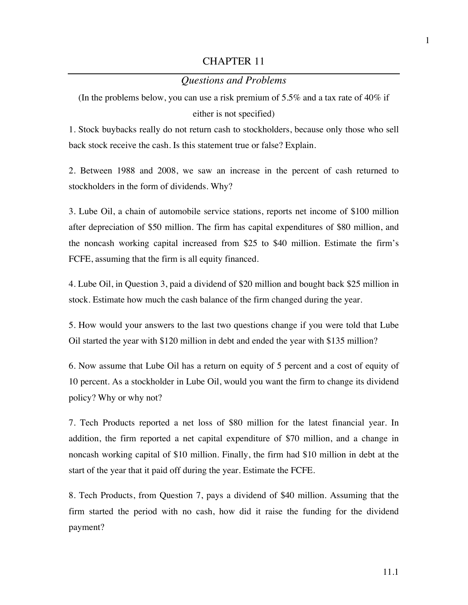## CHAPTER 11

## *Questions and Problems*

(In the problems below, you can use a risk premium of 5.5% and a tax rate of  $40\%$  if either is not specified)

1. Stock buybacks really do not return cash to stockholders, because only those who sell back stock receive the cash. Is this statement true or false? Explain.

2. Between 1988 and 2008, we saw an increase in the percent of cash returned to stockholders in the form of dividends. Why?

3. Lube Oil, a chain of automobile service stations, reports net income of \$100 million after depreciation of \$50 million. The firm has capital expenditures of \$80 million, and the noncash working capital increased from \$25 to \$40 million. Estimate the firm's FCFE, assuming that the firm is all equity financed.

4. Lube Oil, in Question 3, paid a dividend of \$20 million and bought back \$25 million in stock. Estimate how much the cash balance of the firm changed during the year.

5. How would your answers to the last two questions change if you were told that Lube Oil started the year with \$120 million in debt and ended the year with \$135 million?

6. Now assume that Lube Oil has a return on equity of 5 percent and a cost of equity of 10 percent. As a stockholder in Lube Oil, would you want the firm to change its dividend policy? Why or why not?

7. Tech Products reported a net loss of \$80 million for the latest financial year. In addition, the firm reported a net capital expenditure of \$70 million, and a change in noncash working capital of \$10 million. Finally, the firm had \$10 million in debt at the start of the year that it paid off during the year. Estimate the FCFE.

8. Tech Products, from Question 7, pays a dividend of \$40 million. Assuming that the firm started the period with no cash, how did it raise the funding for the dividend payment?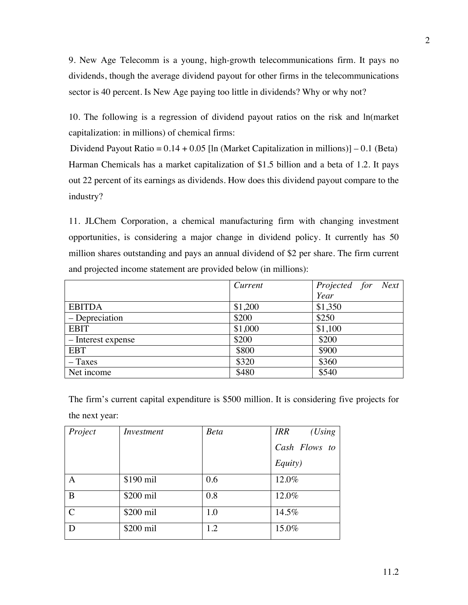9. New Age Telecomm is a young, high-growth telecommunications firm. It pays no dividends, though the average dividend payout for other firms in the telecommunications sector is 40 percent. Is New Age paying too little in dividends? Why or why not?

10. The following is a regression of dividend payout ratios on the risk and ln(market capitalization: in millions) of chemical firms:

Dividend Payout Ratio =  $0.14 + 0.05$  [ln (Market Capitalization in millions)]  $-0.1$  (Beta) Harman Chemicals has a market capitalization of \$1.5 billion and a beta of 1.2. It pays out 22 percent of its earnings as dividends. How does this dividend payout compare to the industry?

11. JLChem Corporation, a chemical manufacturing firm with changing investment opportunities, is considering a major change in dividend policy. It currently has 50 million shares outstanding and pays an annual dividend of \$2 per share. The firm current and projected income statement are provided below (in millions):

|                    | Current | Projected for Next |
|--------------------|---------|--------------------|
|                    |         | Year               |
| <b>EBITDA</b>      | \$1,200 | \$1,350            |
| – Depreciation     | \$200   | \$250              |
| <b>EBIT</b>        | \$1,000 | \$1,100            |
| - Interest expense | \$200   | \$200              |
| <b>EBT</b>         | \$800   | \$900              |
| $-$ Taxes          | \$320   | \$360              |
| Net income         | \$480   | \$540              |

The firm's current capital expenditure is \$500 million. It is considering five projects for the next year:

| Project       | Investment | <b>Beta</b> | <i>IRR</i><br>(Using |
|---------------|------------|-------------|----------------------|
|               |            |             | Cash Flows to        |
|               |            |             | Equity)              |
| Α             | \$190 mil  | 0.6         | 12.0%                |
| B             | \$200 mil  | 0.8         | 12.0%                |
| $\mathcal{C}$ | \$200 mil  | 1.0         | 14.5%                |
| D             | \$200 mil  | 1.2         | 15.0%                |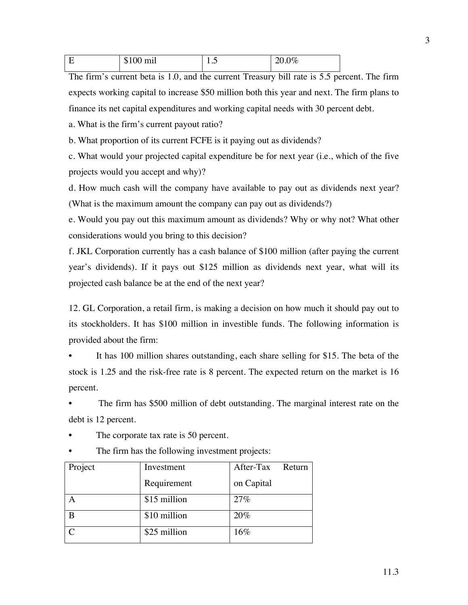| $\cdot$ $\cdot$<br>$\sim$<br>۰1.<br><br>$- - - - -$ | 1. .J | $\Omega$<br>70<br>$\cdot$ $\cdot$ $\cdot$ |
|-----------------------------------------------------|-------|-------------------------------------------|
|                                                     |       |                                           |

The firm's current beta is 1.0, and the current Treasury bill rate is 5.5 percent. The firm expects working capital to increase \$50 million both this year and next. The firm plans to finance its net capital expenditures and working capital needs with 30 percent debt.

a. What is the firm's current payout ratio?

b. What proportion of its current FCFE is it paying out as dividends?

c. What would your projected capital expenditure be for next year (i.e., which of the five projects would you accept and why)?

d. How much cash will the company have available to pay out as dividends next year? (What is the maximum amount the company can pay out as dividends?)

e. Would you pay out this maximum amount as dividends? Why or why not? What other considerations would you bring to this decision?

f. JKL Corporation currently has a cash balance of \$100 million (after paying the current year's dividends). If it pays out \$125 million as dividends next year, what will its projected cash balance be at the end of the next year?

12. GL Corporation, a retail firm, is making a decision on how much it should pay out to its stockholders. It has \$100 million in investible funds. The following information is provided about the firm:

It has 100 million shares outstanding, each share selling for \$15. The beta of the stock is 1.25 and the risk-free rate is 8 percent. The expected return on the market is 16 percent.

The firm has \$500 million of debt outstanding. The marginal interest rate on the debt is 12 percent.

- The corporate tax rate is 50 percent.
- The firm has the following investment projects:

| Project | Investment   | After-Tax<br>Return |
|---------|--------------|---------------------|
|         | Requirement  | on Capital          |
|         | \$15 million | 27%                 |
|         | \$10 million | 20%                 |
|         | \$25 million | 16%                 |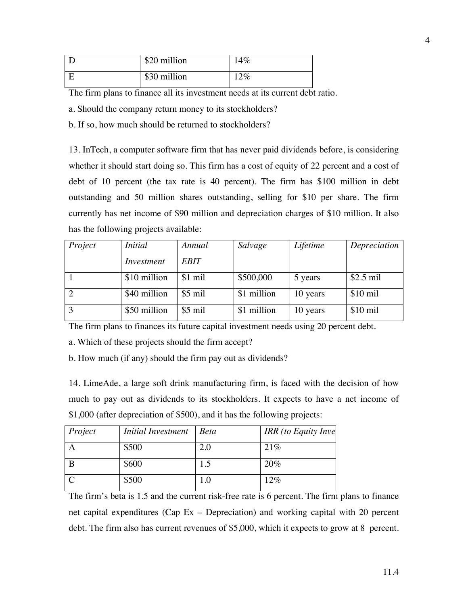| \$20 million | $14\%$ |
|--------------|--------|
| \$30 million | 12%    |

The firm plans to finance all its investment needs at its current debt ratio.

a. Should the company return money to its stockholders?

b. If so, how much should be returned to stockholders?

13. InTech, a computer software firm that has never paid dividends before, is considering whether it should start doing so. This firm has a cost of equity of 22 percent and a cost of debt of 10 percent (the tax rate is 40 percent). The firm has \$100 million in debt outstanding and 50 million shares outstanding, selling for \$10 per share. The firm currently has net income of \$90 million and depreciation charges of \$10 million. It also has the following projects available:

| Project        | <i>Initial</i> | Annual           | Salvage     | Lifetime | Depreciation |
|----------------|----------------|------------------|-------------|----------|--------------|
|                | Investment     | <b>EBIT</b>      |             |          |              |
|                | \$10 million   | $$1$ mil         | \$500,000   | 5 years  | $$2.5$ mil   |
| 2              | \$40 million   | $$5 \text{ mil}$ | \$1 million | 10 years | $$10$ mil    |
| $\overline{3}$ | \$50 million   | $$5 \text{ mil}$ | \$1 million | 10 years | $$10$ mil    |

The firm plans to finances its future capital investment needs using 20 percent debt.

a. Which of these projects should the firm accept?

b. How much (if any) should the firm pay out as dividends?

14. LimeAde, a large soft drink manufacturing firm, is faced with the decision of how much to pay out as dividends to its stockholders. It expects to have a net income of \$1,000 (after depreciation of \$500), and it has the following projects:

| Project | Initial Investment | <b>Beta</b> | <b>IRR</b> (to Equity Inve |
|---------|--------------------|-------------|----------------------------|
|         | \$500              | 2.0         | 21%                        |
|         | \$600              | 1.5         | 20%                        |
|         | \$500              | 0.1         | 12%                        |

The firm's beta is 1.5 and the current risk-free rate is 6 percent. The firm plans to finance net capital expenditures (Cap Ex – Depreciation) and working capital with 20 percent debt. The firm also has current revenues of \$5,000, which it expects to grow at 8 percent.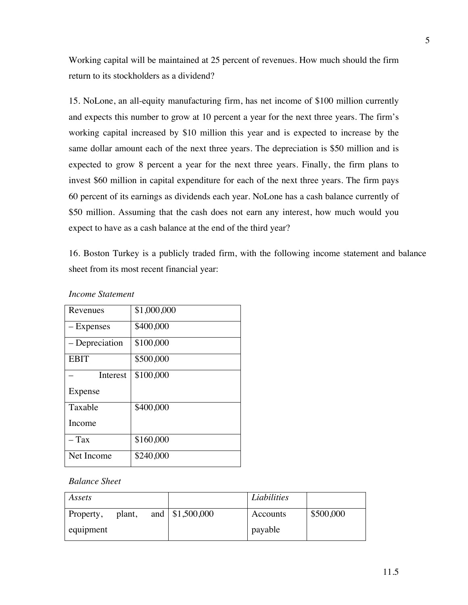Working capital will be maintained at 25 percent of revenues. How much should the firm return to its stockholders as a dividend?

15. NoLone, an all-equity manufacturing firm, has net income of \$100 million currently and expects this number to grow at 10 percent a year for the next three years. The firm's working capital increased by \$10 million this year and is expected to increase by the same dollar amount each of the next three years. The depreciation is \$50 million and is expected to grow 8 percent a year for the next three years. Finally, the firm plans to invest \$60 million in capital expenditure for each of the next three years. The firm pays 60 percent of its earnings as dividends each year. NoLone has a cash balance currently of \$50 million. Assuming that the cash does not earn any interest, how much would you expect to have as a cash balance at the end of the third year?

16. Boston Turkey is a publicly traded firm, with the following income statement and balance sheet from its most recent financial year:

| Revenues       | \$1,000,000 |
|----------------|-------------|
| – Expenses     | \$400,000   |
| – Depreciation | \$100,000   |
| <b>EBIT</b>    | \$500,000   |
| Interest       | \$100,000   |
| Expense        |             |
| Taxable        | \$400,000   |
| Income         |             |
| – Tax          | \$160,000   |
| Net Income     | \$240,000   |

## *Income Statement*

## *Balance Sheet*

| Assets    |        |                              | Liabilities |           |
|-----------|--------|------------------------------|-------------|-----------|
| Property, | plant, | and $\frac{\$1,500,000}{\$}$ | Accounts    | \$500,000 |
| equipment |        |                              | payable     |           |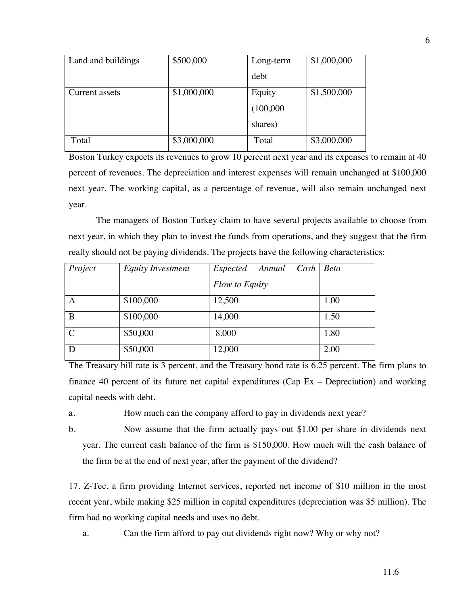| Land and buildings | \$500,000   | Long-term | \$1,000,000 |
|--------------------|-------------|-----------|-------------|
|                    |             | debt      |             |
| Current assets     | \$1,000,000 | Equity    | \$1,500,000 |
|                    |             | (100,000) |             |
|                    |             | shares)   |             |
| Total              | \$3,000,000 | Total     | \$3,000,000 |

Boston Turkey expects its revenues to grow 10 percent next year and its expenses to remain at 40 percent of revenues. The depreciation and interest expenses will remain unchanged at \$100,000 next year. The working capital, as a percentage of revenue, will also remain unchanged next year.

The managers of Boston Turkey claim to have several projects available to choose from next year, in which they plan to invest the funds from operations, and they suggest that the firm really should not be paying dividends. The projects have the following characteristics:

| Project       | <b>Equity Investment</b> | Expected Annual Cash Beta |      |
|---------------|--------------------------|---------------------------|------|
|               |                          | Flow to Equity            |      |
| A             | \$100,000                | 12,500                    | 1.00 |
| B             | \$100,000                | 14,000                    | 1.50 |
| $\mathcal{C}$ | \$50,000                 | 8,000                     | 1.80 |
| D             | \$50,000                 | 12,000                    | 2.00 |

The Treasury bill rate is 3 percent, and the Treasury bond rate is 6.25 percent. The firm plans to finance 40 percent of its future net capital expenditures (Cap Ex – Depreciation) and working capital needs with debt.

a. How much can the company afford to pay in dividends next year?

b. Now assume that the firm actually pays out \$1.00 per share in dividends next year. The current cash balance of the firm is \$150,000. How much will the cash balance of the firm be at the end of next year, after the payment of the dividend?

17. Z-Tec, a firm providing Internet services, reported net income of \$10 million in the most recent year, while making \$25 million in capital expenditures (depreciation was \$5 million). The firm had no working capital needs and uses no debt.

a. Can the firm afford to pay out dividends right now? Why or why not?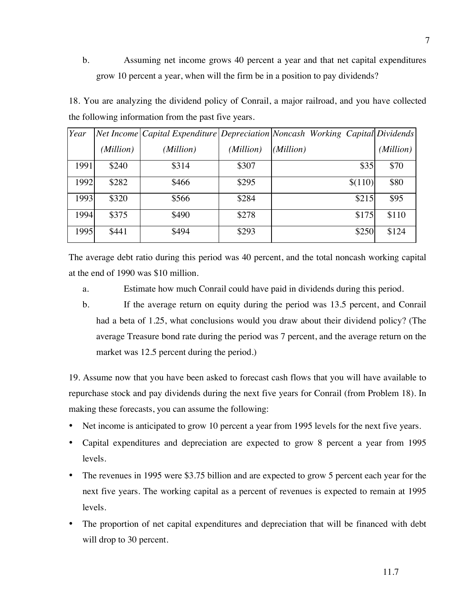b. Assuming net income grows 40 percent a year and that net capital expenditures grow 10 percent a year, when will the firm be in a position to pay dividends?

18. You are analyzing the dividend policy of Conrail, a major railroad, and you have collected the following information from the past five years.

| Year |           | Net Income   Capital Expenditure   Depreciation   Noncash Working Capital Dividends |           |           |         |           |
|------|-----------|-------------------------------------------------------------------------------------|-----------|-----------|---------|-----------|
|      | (Million) | (Million)                                                                           | (Million) | (Million) |         | (Million) |
| 1991 | \$240     | \$314                                                                               | \$307     |           | \$35    | \$70      |
| 1992 | \$282     | \$466                                                                               | \$295     |           | \$(110) | \$80      |
| 1993 | \$320     | \$566                                                                               | \$284     |           | \$215   | \$95      |
| 1994 | \$375     | \$490                                                                               | \$278     |           | \$175   | \$110     |
| 1995 | \$441     | \$494                                                                               | \$293     |           | \$250   | \$124     |

The average debt ratio during this period was 40 percent, and the total noncash working capital at the end of 1990 was \$10 million.

a. Estimate how much Conrail could have paid in dividends during this period.

b. If the average return on equity during the period was 13.5 percent, and Conrail had a beta of 1.25, what conclusions would you draw about their dividend policy? (The average Treasure bond rate during the period was 7 percent, and the average return on the market was 12.5 percent during the period.)

19. Assume now that you have been asked to forecast cash flows that you will have available to repurchase stock and pay dividends during the next five years for Conrail (from Problem 18). In making these forecasts, you can assume the following:

- Net income is anticipated to grow 10 percent a year from 1995 levels for the next five years.
- Capital expenditures and depreciation are expected to grow 8 percent a year from 1995 levels.
- The revenues in 1995 were \$3.75 billion and are expected to grow 5 percent each year for the next five years. The working capital as a percent of revenues is expected to remain at 1995 levels.
- The proportion of net capital expenditures and depreciation that will be financed with debt will drop to 30 percent.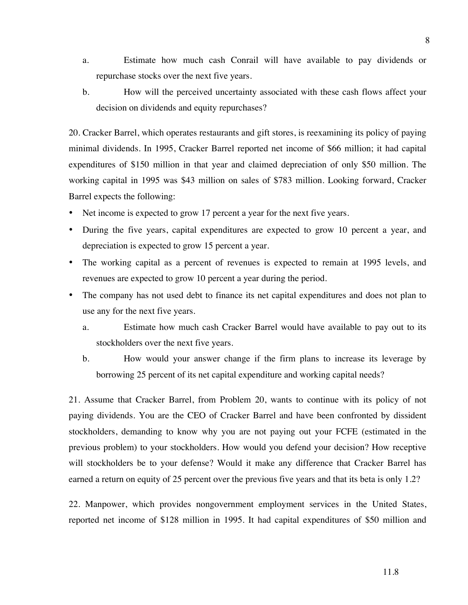- a. Estimate how much cash Conrail will have available to pay dividends or repurchase stocks over the next five years.
- b. How will the perceived uncertainty associated with these cash flows affect your decision on dividends and equity repurchases?

20. Cracker Barrel, which operates restaurants and gift stores, is reexamining its policy of paying minimal dividends. In 1995, Cracker Barrel reported net income of \$66 million; it had capital expenditures of \$150 million in that year and claimed depreciation of only \$50 million. The working capital in 1995 was \$43 million on sales of \$783 million. Looking forward, Cracker Barrel expects the following:

- Net income is expected to grow 17 percent a year for the next five years.
- During the five years, capital expenditures are expected to grow 10 percent a year, and depreciation is expected to grow 15 percent a year.
- The working capital as a percent of revenues is expected to remain at 1995 levels, and revenues are expected to grow 10 percent a year during the period.
- The company has not used debt to finance its net capital expenditures and does not plan to use any for the next five years.
	- a. Estimate how much cash Cracker Barrel would have available to pay out to its stockholders over the next five years.
	- b. How would your answer change if the firm plans to increase its leverage by borrowing 25 percent of its net capital expenditure and working capital needs?

21. Assume that Cracker Barrel, from Problem 20, wants to continue with its policy of not paying dividends. You are the CEO of Cracker Barrel and have been confronted by dissident stockholders, demanding to know why you are not paying out your FCFE (estimated in the previous problem) to your stockholders. How would you defend your decision? How receptive will stockholders be to your defense? Would it make any difference that Cracker Barrel has earned a return on equity of 25 percent over the previous five years and that its beta is only 1.2?

22. Manpower, which provides nongovernment employment services in the United States, reported net income of \$128 million in 1995. It had capital expenditures of \$50 million and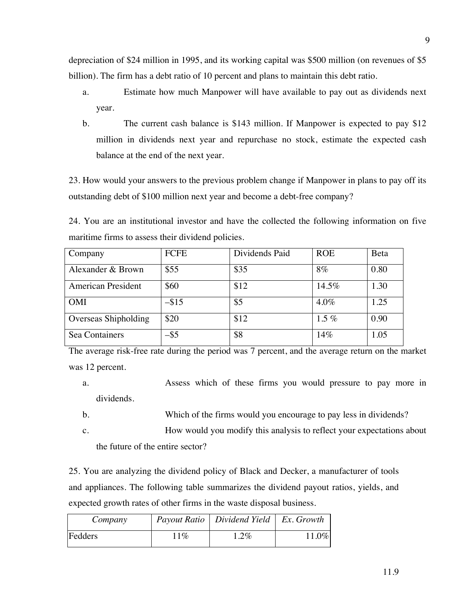depreciation of \$24 million in 1995, and its working capital was \$500 million (on revenues of \$5 billion). The firm has a debt ratio of 10 percent and plans to maintain this debt ratio.

- a. Estimate how much Manpower will have available to pay out as dividends next year.
- b. The current cash balance is \$143 million. If Manpower is expected to pay \$12 million in dividends next year and repurchase no stock, estimate the expected cash balance at the end of the next year.

23. How would your answers to the previous problem change if Manpower in plans to pay off its outstanding debt of \$100 million next year and become a debt-free company?

24. You are an institutional investor and have the collected the following information on five maritime firms to assess their dividend policies.

| Company              | <b>FCFE</b> | Dividends Paid | <b>ROE</b> | Beta |
|----------------------|-------------|----------------|------------|------|
| Alexander & Brown    | \$55        | \$35           | 8%         | 0.80 |
| American President   | \$60        | \$12           | 14.5%      | 1.30 |
| <b>OMI</b>           | $-$ \$15    | \$5            | $4.0\%$    | 1.25 |
| Overseas Shipholding | \$20        | \$12           | $1.5\%$    | 0.90 |
| Sea Containers       | -\$5        | \$8            | 14%        | 1.05 |

The average risk-free rate during the period was 7 percent, and the average return on the market was 12 percent.

- a. Assess which of these firms you would pressure to pay more in dividends.
- b. Which of the firms would you encourage to pay less in dividends?
- c. How would you modify this analysis to reflect your expectations about the future of the entire sector?

25. You are analyzing the dividend policy of Black and Decker, a manufacturer of tools and appliances. The following table summarizes the dividend payout ratios, yields, and expected growth rates of other firms in the waste disposal business.

| Company |        | Payout Ratio   Dividend Yield   Ex. Growth |          |
|---------|--------|--------------------------------------------|----------|
| Fedders | $11\%$ | $1.2\%$                                    | $11.0\%$ |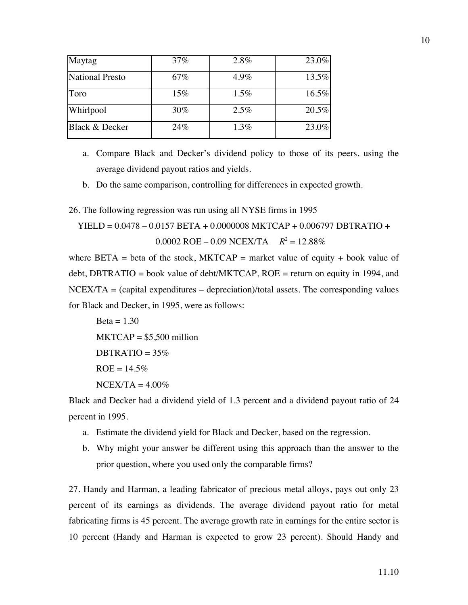| Maytag                    | 37%    | 2.8% | 23.0% |
|---------------------------|--------|------|-------|
| National Presto           | 67%    | 4.9% | 13.5% |
| Toro                      | $15\%$ | 1.5% | 16.5% |
| Whirlpool                 | 30%    | 2.5% | 20.5% |
| <b>Black &amp; Decker</b> | 24%    | 1.3% | 23.0% |

a. Compare Black and Decker's dividend policy to those of its peers, using the average dividend payout ratios and yields.

b. Do the same comparison, controlling for differences in expected growth.

26. The following regression was run using all NYSE firms in 1995

 $YIED = 0.0478 - 0.0157 BETA + 0.0000008 MKTCAP + 0.006797 DBTRATIO +$ 

 $0.0002$  ROE – 0.09 NCEX/TA  $R^2 = 12.88\%$ 

where BETA = beta of the stock, MKTCAP = market value of equity + book value of debt, DBTRATIO = book value of debt/MKTCAP, ROE = return on equity in 1994, and  $NCEX/TA = (capital expenditures - depreciation)/total assets. The corresponding values$ for Black and Decker, in 1995, were as follows:

 $Beta = 1.30$  $MKTCAP = $5,500$  million  $DBTRATIO = 35\%$  $ROE = 14.5%$  $NCEX/TA = 4.00\%$ 

Black and Decker had a dividend yield of 1.3 percent and a dividend payout ratio of 24 percent in 1995.

- a. Estimate the dividend yield for Black and Decker, based on the regression.
- b. Why might your answer be different using this approach than the answer to the prior question, where you used only the comparable firms?

27. Handy and Harman, a leading fabricator of precious metal alloys, pays out only 23 percent of its earnings as dividends. The average dividend payout ratio for metal fabricating firms is 45 percent. The average growth rate in earnings for the entire sector is 10 percent (Handy and Harman is expected to grow 23 percent). Should Handy and